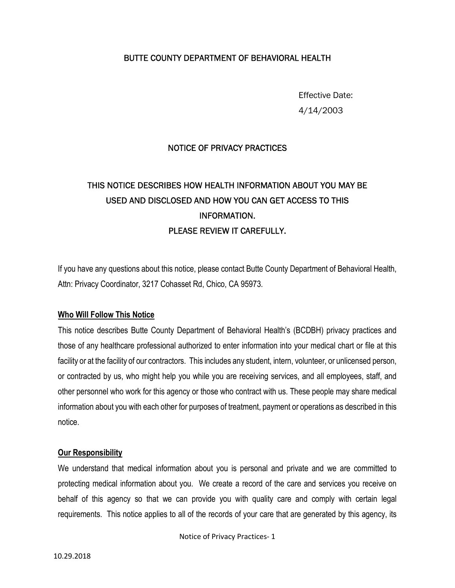## BUTTE COUNTY DEPARTMENT OF BEHAVIORAL HEALTH

Effective Date: 4/14/2003

#### NOTICE OF PRIVACY PRACTICES

# THIS NOTICE DESCRIBES HOW HEALTH INFORMATION ABOUT YOU MAY BE USED AND DISCLOSED AND HOW YOU CAN GET ACCESS TO THIS INFORMATION. PLEASE REVIEW IT CAREFULLY.

If you have any questions about this notice, please contact Butte County Department of Behavioral Health, Attn: Privacy Coordinator, 3217 Cohasset Rd, Chico, CA 95973.

#### **Who Will Follow This Notice**

This notice describes Butte County Department of Behavioral Health's (BCDBH) privacy practices and those of any healthcare professional authorized to enter information into your medical chart or file at this facility or at the facility of our contractors. This includes any student, intern, volunteer, or unlicensed person, or contracted by us, who might help you while you are receiving services, and all employees, staff, and other personnel who work for this agency or those who contract with us. These people may share medical information about you with each other for purposes of treatment, payment or operations as described in this notice.

#### **Our Responsibility**

We understand that medical information about you is personal and private and we are committed to protecting medical information about you. We create a record of the care and services you receive on behalf of this agency so that we can provide you with quality care and comply with certain legal requirements. This notice applies to all of the records of your care that are generated by this agency, its

Notice of Privacy Practices- 1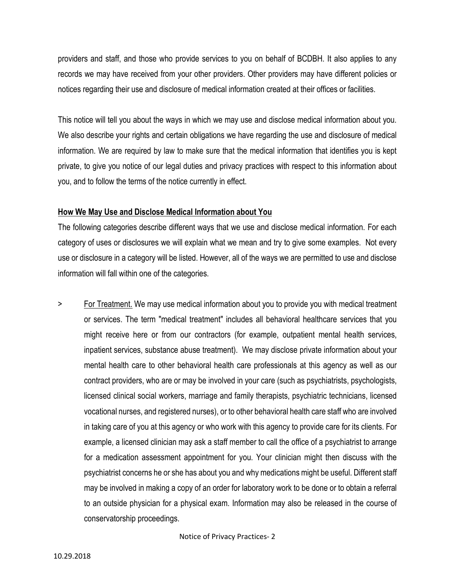providers and staff, and those who provide services to you on behalf of BCDBH. It also applies to any records we may have received from your other providers. Other providers may have different policies or notices regarding their use and disclosure of medical information created at their offices or facilities.

This notice will tell you about the ways in which we may use and disclose medical information about you. We also describe your rights and certain obligations we have regarding the use and disclosure of medical information. We are required by law to make sure that the medical information that identifies you is kept private, to give you notice of our legal duties and privacy practices with respect to this information about you, and to follow the terms of the notice currently in effect.

#### **How We May Use and Disclose Medical Information about You**

The following categories describe different ways that we use and disclose medical information. For each category of uses or disclosures we will explain what we mean and try to give some examples. Not every use or disclosure in a category will be listed. However, all of the ways we are permitted to use and disclose information will fall within one of the categories.

> For Treatment. We may use medical information about you to provide you with medical treatment or services. The term "medical treatment" includes all behavioral healthcare services that you might receive here or from our contractors (for example, outpatient mental health services, inpatient services, substance abuse treatment). We may disclose private information about your mental health care to other behavioral health care professionals at this agency as well as our contract providers, who are or may be involved in your care (such as psychiatrists, psychologists, licensed clinical social workers, marriage and family therapists, psychiatric technicians, licensed vocational nurses, and registered nurses), or to other behavioral health care staff who are involved in taking care of you at this agency or who work with this agency to provide care for its clients. For example, a licensed clinician may ask a staff member to call the office of a psychiatrist to arrange for a medication assessment appointment for you. Your clinician might then discuss with the psychiatrist concerns he or she has about you and why medications might be useful. Different staff may be involved in making a copy of an order for laboratory work to be done or to obtain a referral to an outside physician for a physical exam. Information may also be released in the course of conservatorship proceedings.

Notice of Privacy Practices- 2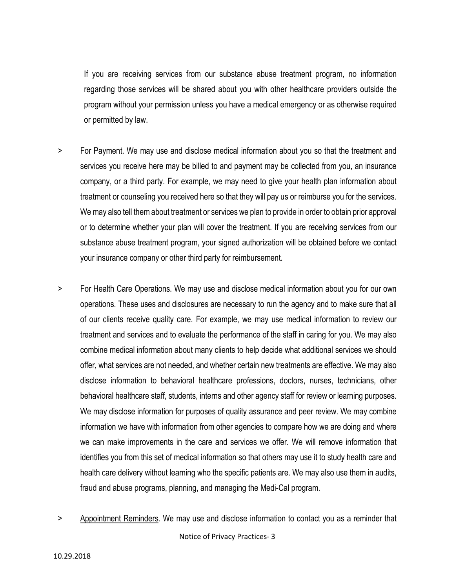If you are receiving services from our substance abuse treatment program, no information regarding those services will be shared about you with other healthcare providers outside the program without your permission unless you have a medical emergency or as otherwise required or permitted by law.

- > For Payment. We may use and disclose medical information about you so that the treatment and services you receive here may be billed to and payment may be collected from you, an insurance company, or a third party. For example, we may need to give your health plan information about treatment or counseling you received here so that they will pay us or reimburse you for the services. We may also tell them about treatment or services we plan to provide in order to obtain prior approval or to determine whether your plan will cover the treatment. If you are receiving services from our substance abuse treatment program, your signed authorization will be obtained before we contact your insurance company or other third party for reimbursement.
- > For Health Care Operations. We may use and disclose medical information about you for our own operations. These uses and disclosures are necessary to run the agency and to make sure that all of our clients receive quality care. For example, we may use medical information to review our treatment and services and to evaluate the performance of the staff in caring for you. We may also combine medical information about many clients to help decide what additional services we should offer, what services are not needed, and whether certain new treatments are effective. We may also disclose information to behavioral healthcare professions, doctors, nurses, technicians, other behavioral healthcare staff, students, interns and other agency staff for review or learning purposes. We may disclose information for purposes of quality assurance and peer review. We may combine information we have with information from other agencies to compare how we are doing and where we can make improvements in the care and services we offer. We will remove information that identifies you from this set of medical information so that others may use it to study health care and health care delivery without learning who the specific patients are. We may also use them in audits, fraud and abuse programs, planning, and managing the Medi-Cal program.
- Notice of Privacy Practices- 3 > Appointment Reminders. We may use and disclose information to contact you as a reminder that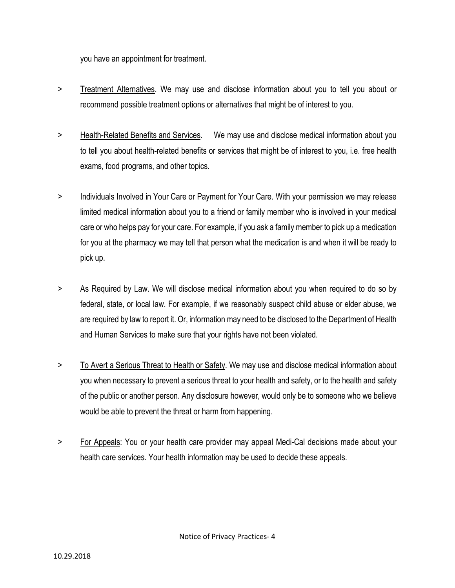you have an appointment for treatment.

- > Treatment Alternatives. We may use and disclose information about you to tell you about or recommend possible treatment options or alternatives that might be of interest to you.
- > Health-Related Benefits and Services. We may use and disclose medical information about you to tell you about health-related benefits or services that might be of interest to you, i.e. free health exams, food programs, and other topics.
- > Individuals Involved in Your Care or Payment for Your Care. With your permission we may release limited medical information about you to a friend or family member who is involved in your medical care or who helps pay for your care. For example, if you ask a family member to pick up a medication for you at the pharmacy we may tell that person what the medication is and when it will be ready to pick up.
- > As Required by Law. We will disclose medical information about you when required to do so by federal, state, or local law. For example, if we reasonably suspect child abuse or elder abuse, we are required by law to report it. Or, information may need to be disclosed to the Department of Health and Human Services to make sure that your rights have not been violated.
- > To Avert a Serious Threat to Health or Safety. We may use and disclose medical information about you when necessary to prevent a serious threat to your health and safety, or to the health and safety of the public or another person. Any disclosure however, would only be to someone who we believe would be able to prevent the threat or harm from happening.
- > For Appeals: You or your health care provider may appeal Medi-Cal decisions made about your health care services. Your health information may be used to decide these appeals.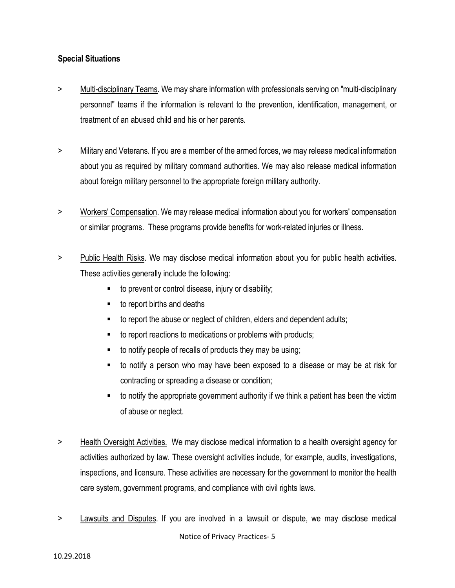## **Special Situations**

- > Multi-disciplinary Teams. We may share information with professionals serving on "multi-disciplinary personnel" teams if the information is relevant to the prevention, identification, management, or treatment of an abused child and his or her parents.
- > Military and Veterans. If you are a member of the armed forces, we may release medical information about you as required by military command authorities. We may also release medical information about foreign military personnel to the appropriate foreign military authority.
- > Workers' Compensation. We may release medical information about you for workers' compensation or similar programs. These programs provide benefits for work-related injuries or illness.
- > Public Health Risks. We may disclose medical information about you for public health activities. These activities generally include the following:
	- to prevent or control disease, injury or disability;
	- to report births and deaths
	- to report the abuse or neglect of children, elders and dependent adults;
	- to report reactions to medications or problems with products;
	- $\blacksquare$  to notify people of recalls of products they may be using;
	- to notify a person who may have been exposed to a disease or may be at risk for contracting or spreading a disease or condition;
	- to notify the appropriate government authority if we think a patient has been the victim of abuse or neglect.
- > Health Oversight Activities. We may disclose medical information to a health oversight agency for activities authorized by law. These oversight activities include, for example, audits, investigations, inspections, and licensure. These activities are necessary for the government to monitor the health care system, government programs, and compliance with civil rights laws.
- Notice of Privacy Practices- 5 > Lawsuits and Disputes. If you are involved in a lawsuit or dispute, we may disclose medical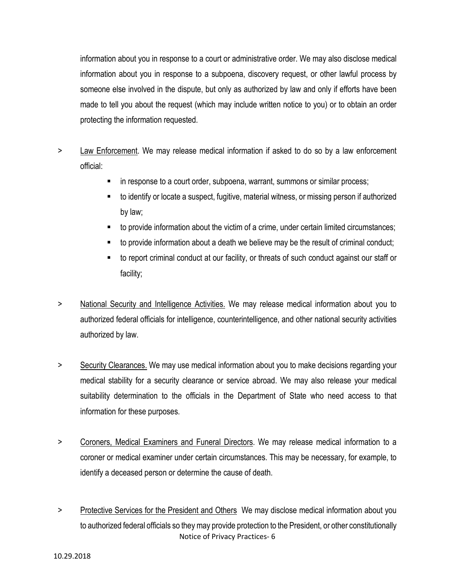information about you in response to a court or administrative order. We may also disclose medical information about you in response to a subpoena, discovery request, or other lawful process by someone else involved in the dispute, but only as authorized by law and only if efforts have been made to tell you about the request (which may include written notice to you) or to obtain an order protecting the information requested.

- > Law Enforcement. We may release medical information if asked to do so by a law enforcement official:
	- in response to a court order, subpoena, warrant, summons or similar process;
	- to identify or locate a suspect, fugitive, material witness, or missing person if authorized by law;
	- to provide information about the victim of a crime, under certain limited circumstances;
	- to provide information about a death we believe may be the result of criminal conduct;
	- to report criminal conduct at our facility, or threats of such conduct against our staff or facility;
- > National Security and Intelligence Activities. We may release medical information about you to authorized federal officials for intelligence, counterintelligence, and other national security activities authorized by law.
- > Security Clearances. We may use medical information about you to make decisions regarding your medical stability for a security clearance or service abroad. We may also release your medical suitability determination to the officials in the Department of State who need access to that information for these purposes.
- > Coroners, Medical Examiners and Funeral Directors. We may release medical information to a coroner or medical examiner under certain circumstances. This may be necessary, for example, to identify a deceased person or determine the cause of death.
- Notice of Privacy Practices- 6 > Protective Services for the President and Others We may disclose medical information about you to authorized federal officials so they may provide protection to the President, or other constitutionally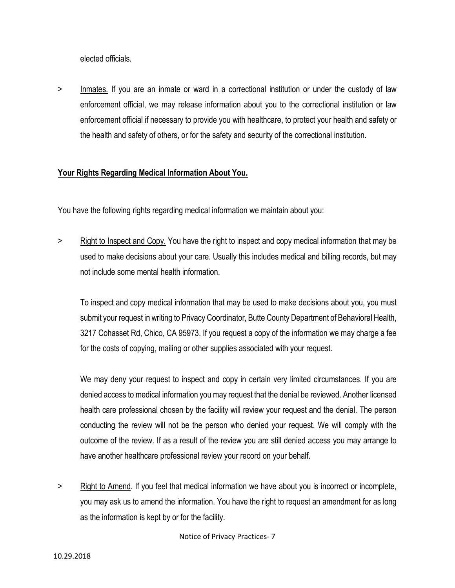elected officials.

> Inmates. If you are an inmate or ward in a correctional institution or under the custody of law enforcement official, we may release information about you to the correctional institution or law enforcement official if necessary to provide you with healthcare, to protect your health and safety or the health and safety of others, or for the safety and security of the correctional institution.

## **Your Rights Regarding Medical Information About You.**

You have the following rights regarding medical information we maintain about you:

> Right to Inspect and Copy. You have the right to inspect and copy medical information that may be used to make decisions about your care. Usually this includes medical and billing records, but may not include some mental health information.

To inspect and copy medical information that may be used to make decisions about you, you must submit your request in writing to Privacy Coordinator, Butte County Department of Behavioral Health, 3217 Cohasset Rd, Chico, CA 95973. If you request a copy of the information we may charge a fee for the costs of copying, mailing or other supplies associated with your request.

We may deny your request to inspect and copy in certain very limited circumstances. If you are denied access to medical information you may request that the denial be reviewed. Another licensed health care professional chosen by the facility will review your request and the denial. The person conducting the review will not be the person who denied your request. We will comply with the outcome of the review. If as a result of the review you are still denied access you may arrange to have another healthcare professional review your record on your behalf.

> Right to Amend. If you feel that medical information we have about you is incorrect or incomplete, you may ask us to amend the information. You have the right to request an amendment for as long as the information is kept by or for the facility.

Notice of Privacy Practices- 7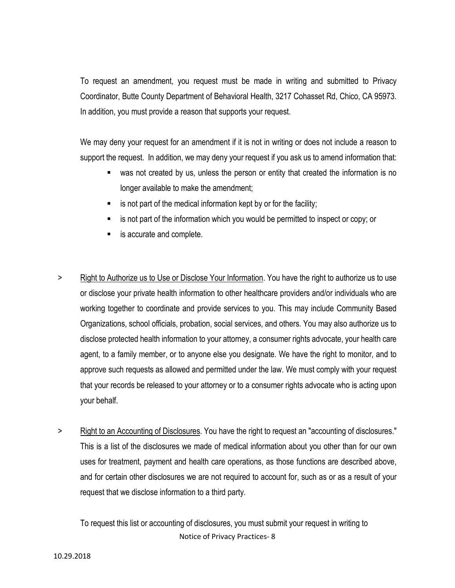To request an amendment, you request must be made in writing and submitted to Privacy Coordinator, Butte County Department of Behavioral Health, 3217 Cohasset Rd, Chico, CA 95973. In addition, you must provide a reason that supports your request.

We may deny your request for an amendment if it is not in writing or does not include a reason to support the request. In addition, we may deny your request if you ask us to amend information that:

- was not created by us, unless the person or entity that created the information is no longer available to make the amendment;
- $\blacksquare$  is not part of the medical information kept by or for the facility;
- is not part of the information which you would be permitted to inspect or copy; or
- is accurate and complete.
- > Right to Authorize us to Use or Disclose Your Information. You have the right to authorize us to use or disclose your private health information to other healthcare providers and/or individuals who are working together to coordinate and provide services to you. This may include Community Based Organizations, school officials, probation, social services, and others. You may also authorize us to disclose protected health information to your attorney, a consumer rights advocate, your health care agent, to a family member, or to anyone else you designate. We have the right to monitor, and to approve such requests as allowed and permitted under the law. We must comply with your request that your records be released to your attorney or to a consumer rights advocate who is acting upon your behalf.
- > Right to an Accounting of Disclosures. You have the right to request an "accounting of disclosures." This is a list of the disclosures we made of medical information about you other than for our own uses for treatment, payment and health care operations, as those functions are described above, and for certain other disclosures we are not required to account for, such as or as a result of your request that we disclose information to a third party.

Notice of Privacy Practices- 8 To request this list or accounting of disclosures, you must submit your request in writing to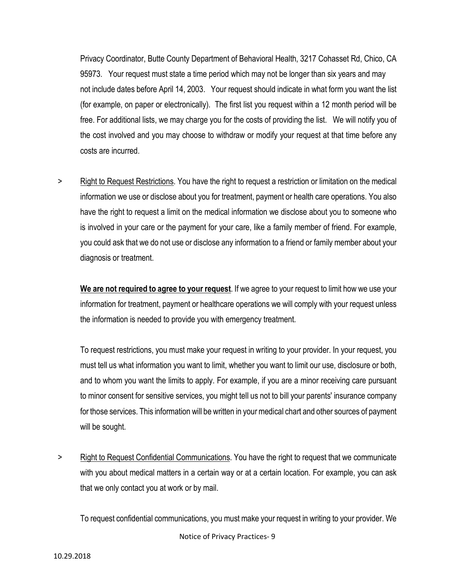Privacy Coordinator, Butte County Department of Behavioral Health, 3217 Cohasset Rd, Chico, CA 95973. Your request must state a time period which may not be longer than six years and may not include dates before April 14, 2003. Your request should indicate in what form you want the list (for example, on paper or electronically). The first list you request within a 12 month period will be free. For additional lists, we may charge you for the costs of providing the list. We will notify you of the cost involved and you may choose to withdraw or modify your request at that time before any costs are incurred.

> Right to Request Restrictions. You have the right to request a restriction or limitation on the medical information we use or disclose about you for treatment, payment or health care operations. You also have the right to request a limit on the medical information we disclose about you to someone who is involved in your care or the payment for your care, like a family member of friend. For example, you could ask that we do not use or disclose any information to a friend or family member about your diagnosis or treatment.

**We are not required to agree to your request**. If we agree to your request to limit how we use your information for treatment, payment or healthcare operations we will comply with your request unless the information is needed to provide you with emergency treatment.

To request restrictions, you must make your request in writing to your provider. In your request, you must tell us what information you want to limit, whether you want to limit our use, disclosure or both, and to whom you want the limits to apply. For example, if you are a minor receiving care pursuant to minor consent for sensitive services, you might tell us not to bill your parents' insurance company for those services. This information will be written in your medical chart and other sources of payment will be sought.

> Right to Request Confidential Communications. You have the right to request that we communicate with you about medical matters in a certain way or at a certain location. For example, you can ask that we only contact you at work or by mail.

Notice of Privacy Practices- 9 To request confidential communications, you must make your request in writing to your provider. We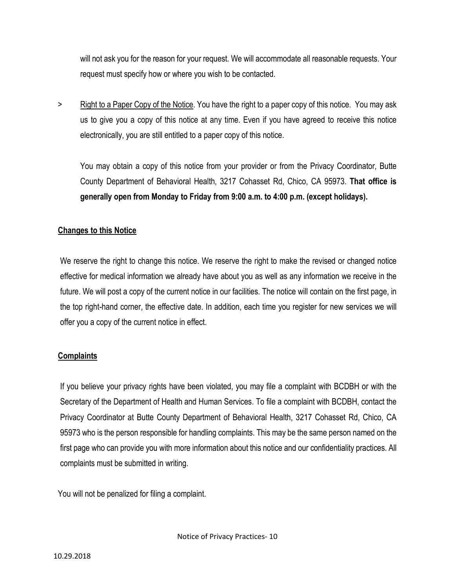will not ask you for the reason for your request. We will accommodate all reasonable requests. Your request must specify how or where you wish to be contacted.

> Right to a Paper Copy of the Notice. You have the right to a paper copy of this notice. You may ask us to give you a copy of this notice at any time. Even if you have agreed to receive this notice electronically, you are still entitled to a paper copy of this notice.

You may obtain a copy of this notice from your provider or from the Privacy Coordinator, Butte County Department of Behavioral Health, 3217 Cohasset Rd, Chico, CA 95973. **That office is generally open from Monday to Friday from 9:00 a.m. to 4:00 p.m. (except holidays).**

## **Changes to this Notice**

We reserve the right to change this notice. We reserve the right to make the revised or changed notice effective for medical information we already have about you as well as any information we receive in the future. We will post a copy of the current notice in our facilities. The notice will contain on the first page, in the top right-hand corner, the effective date. In addition, each time you register for new services we will offer you a copy of the current notice in effect.

## **Complaints**

If you believe your privacy rights have been violated, you may file a complaint with BCDBH or with the Secretary of the Department of Health and Human Services. To file a complaint with BCDBH, contact the Privacy Coordinator at Butte County Department of Behavioral Health, 3217 Cohasset Rd, Chico, CA 95973 who is the person responsible for handling complaints. This may be the same person named on the first page who can provide you with more information about this notice and our confidentiality practices. All complaints must be submitted in writing.

You will not be penalized for filing a complaint.